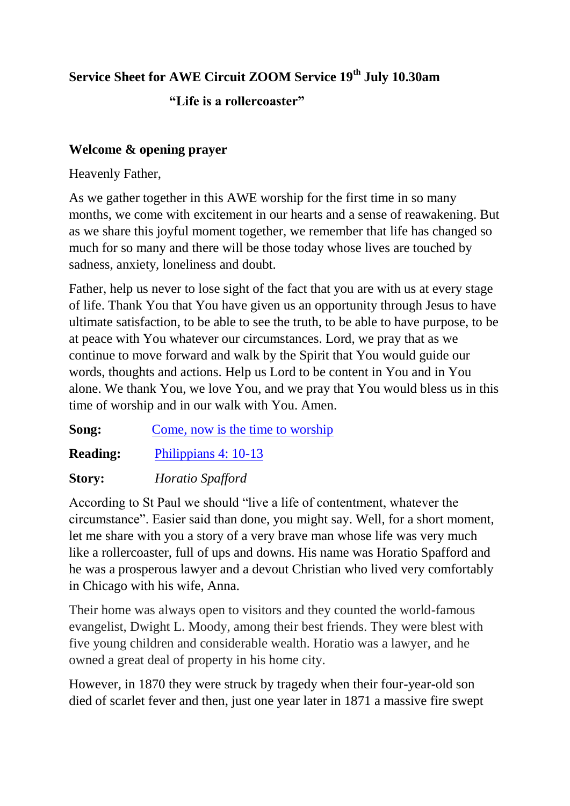# **Service Sheet for AWE Circuit ZOOM Service 19th July 10.30am**

# **"Life is a rollercoaster"**

# **Welcome & opening prayer**

Heavenly Father,

As we gather together in this AWE worship for the first time in so many months, we come with excitement in our hearts and a sense of reawakening. But as we share this joyful moment together, we remember that life has changed so much for so many and there will be those today whose lives are touched by sadness, anxiety, loneliness and doubt.

Father, help us never to lose sight of the fact that you are with us at every stage of life. Thank You that You have given us an opportunity through Jesus to have ultimate satisfaction, to be able to see the truth, to be able to have purpose, to be at peace with You whatever our circumstances. Lord, we pray that as we continue to move forward and walk by the Spirit that You would guide our words, thoughts and actions. Help us Lord to be content in You and in You alone. We thank You, we love You, and we pray that You would bless us in this time of worship and in our walk with You. Amen.

**Song:** Come, [now is the time to worship](https://www.youtube.com/watch?v=NPWq8eM4lu8)

**Reading:** [Philippians 4: 10-13](https://www.biblegateway.com/passage/?search=Philippians+4%3A+10-13+&version=NIV)

### **Story:** *Horatio Spafford*

According to St Paul we should "live a life of contentment, whatever the circumstance". Easier said than done, you might say. Well, for a short moment, let me share with you a story of a very brave man whose life was very much like a rollercoaster, full of ups and downs. His name was Horatio Spafford and he was a prosperous lawyer and a devout Christian who lived very comfortably in Chicago with his wife, Anna.

Their home was always open to visitors and they counted the world-famous evangelist, Dwight L. Moody, among their best friends. They were blest with five young children and considerable wealth. Horatio was a lawyer, and he owned a great deal of property in his home city.

However, in 1870 they were struck by tragedy when their four-year-old son died of scarlet fever and then, just one year later in 1871 a massive fire swept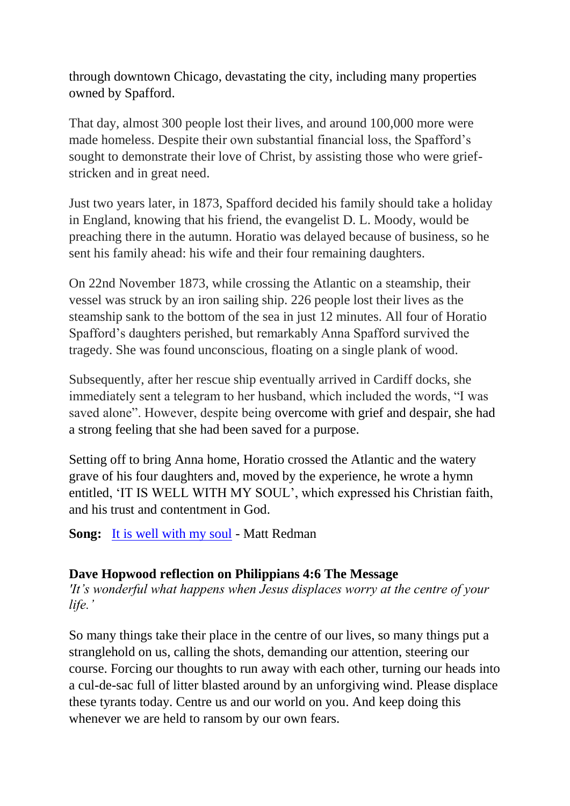through downtown Chicago, devastating the city, including many properties owned by Spafford.

That day, almost 300 people lost their lives, and around 100,000 more were made homeless. Despite their own substantial financial loss, the Spafford"s sought to demonstrate their love of Christ, by assisting those who were griefstricken and in great need.

Just two years later, in 1873, Spafford decided his family should take a holiday in England, knowing that his friend, the evangelist D. L. Moody, would be preaching there in the autumn. Horatio was delayed because of business, so he sent his family ahead: his wife and their four remaining daughters.

On 22nd November 1873, while crossing the Atlantic on a steamship, their vessel was struck by an iron sailing ship. 226 people lost their lives as the steamship sank to the bottom of the sea in just 12 minutes. All four of Horatio Spafford"s daughters perished, but remarkably Anna Spafford survived the tragedy. She was found unconscious, floating on a single plank of wood.

Subsequently, after her rescue ship eventually arrived in Cardiff docks, she immediately sent a telegram to her husband, which included the words, "I was saved alone". However, despite being overcome with grief and despair, she had a strong feeling that she had been saved for a purpose.

Setting off to bring Anna home, Horatio crossed the Atlantic and the watery grave of his four daughters and, moved by the experience, he wrote a hymn entitled, "IT IS WELL WITH MY SOUL", which expressed his Christian faith, and his trust and contentment in God.

**Song:** [It is well with my soul](https://www.youtube.com/watch?v=aoRecglINIw) - Matt Redman

### **Dave Hopwood reflection on Philippians 4:6 The Message**

*'It's wonderful what happens when Jesus displaces worry at the centre of your life.'*

So many things take their place in the centre of our lives, so many things put a stranglehold on us, calling the shots, demanding our attention, steering our course. Forcing our thoughts to run away with each other, turning our heads into a cul-de-sac full of litter blasted around by an unforgiving wind. Please displace these tyrants today. Centre us and our world on you. And keep doing this whenever we are held to ransom by our own fears.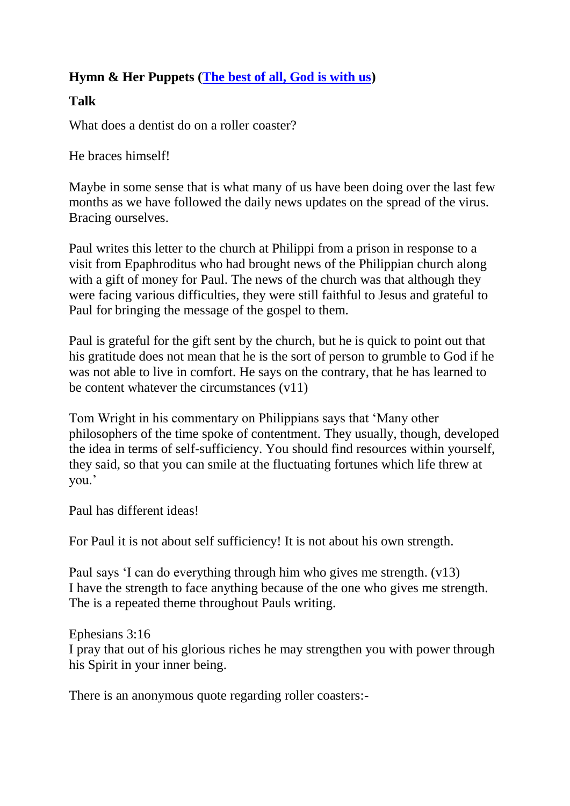# **Hymn & Her Puppets [\(The best of all, God is with us\)](https://www.youtube.com/watch?v=7OuxO0I00rA)**

# **Talk**

What does a dentist do on a roller coaster?

He braces himself!

Maybe in some sense that is what many of us have been doing over the last few months as we have followed the daily news updates on the spread of the virus. Bracing ourselves.

Paul writes this letter to the church at Philippi from a prison in response to a visit from Epaphroditus who had brought news of the Philippian church along with a gift of money for Paul. The news of the church was that although they were facing various difficulties, they were still faithful to Jesus and grateful to Paul for bringing the message of the gospel to them.

Paul is grateful for the gift sent by the church, but he is quick to point out that his gratitude does not mean that he is the sort of person to grumble to God if he was not able to live in comfort. He says on the contrary, that he has learned to be content whatever the circumstances (v11)

Tom Wright in his commentary on Philippians says that "Many other philosophers of the time spoke of contentment. They usually, though, developed the idea in terms of self-sufficiency. You should find resources within yourself, they said, so that you can smile at the fluctuating fortunes which life threw at you.'

Paul has different ideas!

For Paul it is not about self sufficiency! It is not about his own strength.

Paul says "I can do everything through him who gives me strength. (v13) I have the strength to face anything because of the one who gives me strength. The is a repeated theme throughout Pauls writing.

Ephesians 3:16 I pray that out of his glorious riches he may strengthen you with power through his Spirit in your inner being.

There is an anonymous quote regarding roller coasters:-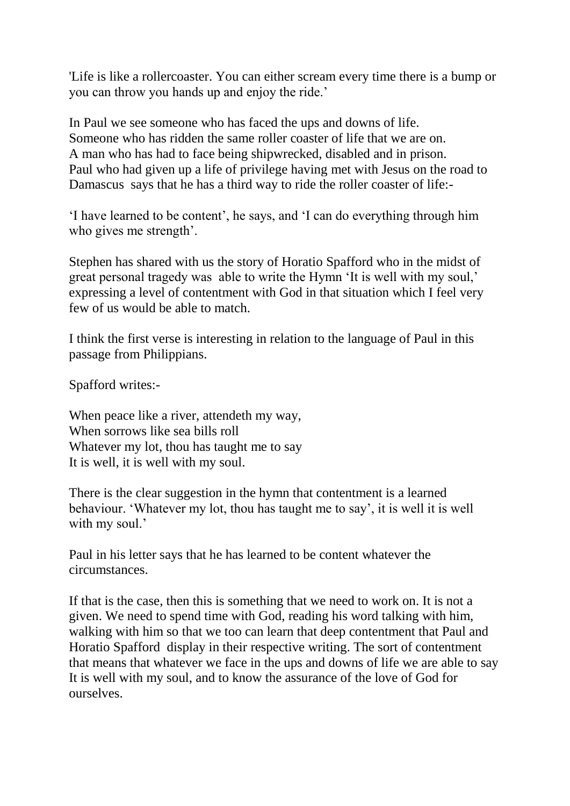'Life is like a rollercoaster. You can either scream every time there is a bump or you can throw you hands up and enjoy the ride."

In Paul we see someone who has faced the ups and downs of life. Someone who has ridden the same roller coaster of life that we are on. A man who has had to face being shipwrecked, disabled and in prison. Paul who had given up a life of privilege having met with Jesus on the road to Damascus says that he has a third way to ride the roller coaster of life:-

"I have learned to be content", he says, and "I can do everything through him who gives me strength'.

Stephen has shared with us the story of Horatio Spafford who in the midst of great personal tragedy was able to write the Hymn "It is well with my soul," expressing a level of contentment with God in that situation which I feel very few of us would be able to match.

I think the first verse is interesting in relation to the language of Paul in this passage from Philippians.

Spafford writes:-

When peace like a river, attendeth my way. When sorrows like sea bills roll Whatever my lot, thou has taught me to say It is well, it is well with my soul.

There is the clear suggestion in the hymn that contentment is a learned behaviour. "Whatever my lot, thou has taught me to say", it is well it is well with my soul.'

Paul in his letter says that he has learned to be content whatever the circumstances.

If that is the case, then this is something that we need to work on. It is not a given. We need to spend time with God, reading his word talking with him, walking with him so that we too can learn that deep contentment that Paul and Horatio Spafford display in their respective writing. The sort of contentment that means that whatever we face in the ups and downs of life we are able to say It is well with my soul, and to know the assurance of the love of God for ourselves.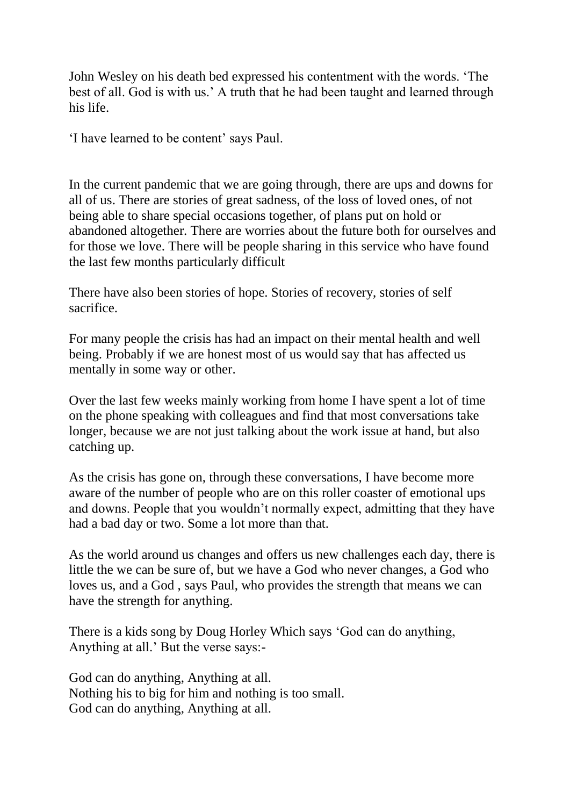John Wesley on his death bed expressed his contentment with the words. "The best of all. God is with us." A truth that he had been taught and learned through his life.

"I have learned to be content" says Paul.

In the current pandemic that we are going through, there are ups and downs for all of us. There are stories of great sadness, of the loss of loved ones, of not being able to share special occasions together, of plans put on hold or abandoned altogether. There are worries about the future both for ourselves and for those we love. There will be people sharing in this service who have found the last few months particularly difficult

There have also been stories of hope. Stories of recovery, stories of self sacrifice.

For many people the crisis has had an impact on their mental health and well being. Probably if we are honest most of us would say that has affected us mentally in some way or other.

Over the last few weeks mainly working from home I have spent a lot of time on the phone speaking with colleagues and find that most conversations take longer, because we are not just talking about the work issue at hand, but also catching up.

As the crisis has gone on, through these conversations, I have become more aware of the number of people who are on this roller coaster of emotional ups and downs. People that you wouldn"t normally expect, admitting that they have had a bad day or two. Some a lot more than that.

As the world around us changes and offers us new challenges each day, there is little the we can be sure of, but we have a God who never changes, a God who loves us, and a God , says Paul, who provides the strength that means we can have the strength for anything.

There is a kids song by Doug Horley Which says "God can do anything, Anything at all." But the verse says:-

God can do anything, Anything at all. Nothing his to big for him and nothing is too small. God can do anything, Anything at all.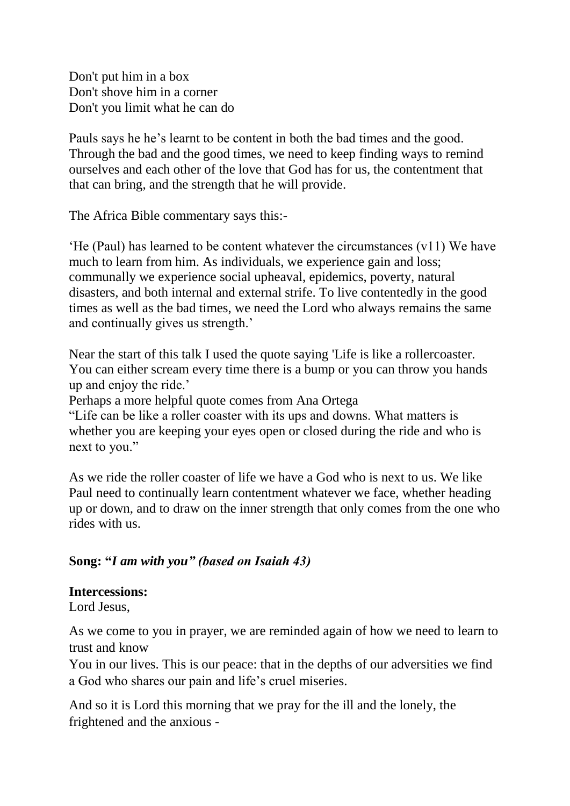Don't put him in a box Don't shove him in a corner Don't you limit what he can do

Pauls says he he"s learnt to be content in both the bad times and the good. Through the bad and the good times, we need to keep finding ways to remind ourselves and each other of the love that God has for us, the contentment that that can bring, and the strength that he will provide.

The Africa Bible commentary says this:-

"He (Paul) has learned to be content whatever the circumstances (v11) We have much to learn from him. As individuals, we experience gain and loss; communally we experience social upheaval, epidemics, poverty, natural disasters, and both internal and external strife. To live contentedly in the good times as well as the bad times, we need the Lord who always remains the same and continually gives us strength."

Near the start of this talk I used the quote saying 'Life is like a rollercoaster. You can either scream every time there is a bump or you can throw you hands up and enjoy the ride."

Perhaps a more helpful quote comes from Ana Ortega

"Life can be like a roller coaster with its ups and downs. What matters is whether you are keeping your eyes open or closed during the ride and who is next to you."

As we ride the roller coaster of life we have a God who is next to us. We like Paul need to continually learn contentment whatever we face, whether heading up or down, and to draw on the inner strength that only comes from the one who rides with us.

#### **Song: "***I am with you" (based on Isaiah 43)*

#### **Intercessions:**

Lord Jesus,

As we come to you in prayer, we are reminded again of how we need to learn to trust and know

You in our lives. This is our peace: that in the depths of our adversities we find a God who shares our pain and life"s cruel miseries.

And so it is Lord this morning that we pray for the ill and the lonely, the frightened and the anxious -